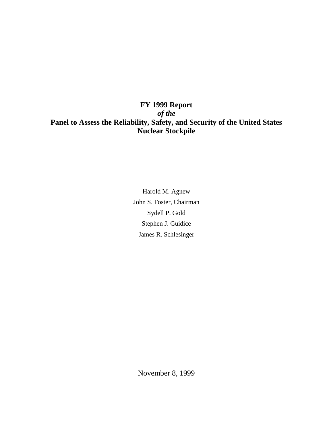# **FY 1999 Report** *of the* **Panel to Assess the Reliability, Safety, and Security of the United States Nuclear Stockpile**

Harold M. Agnew John S. Foster, Chairman Sydell P. Gold Stephen J. Guidice James R. Schlesinger

November 8, 1999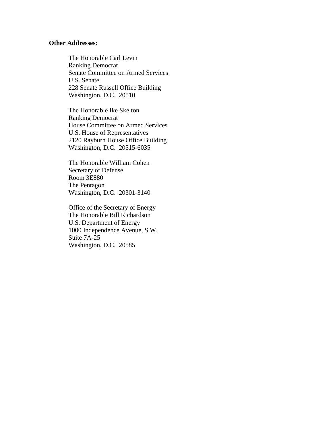## **Other Addresses:**

The Honorable Carl Levin Ranking Democrat Senate Committee on Armed Services U.S. Senate 228 Senate Russell Office Building Washington, D.C. 20510

The Honorable Ike Skelton Ranking Democrat House Committee on Armed Services U.S. House of Representatives 2120 Rayburn House Office Building Washington, D.C. 20515-6035

The Honorable William Cohen Secretary of Defense Room 3E880 The Pentagon Washington, D.C. 20301-3140

Office of the Secretary of Energy The Honorable Bill Richardson U.S. Department of Energy 1000 Independence Avenue, S.W. Suite 7A-25 Washington, D.C. 20585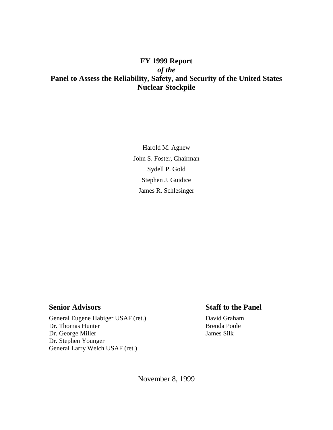# **FY 1999 Report** *of the* **Panel to Assess the Reliability, Safety, and Security of the United States Nuclear Stockpile**

Harold M. Agnew John S. Foster, Chairman Sydell P. Gold Stephen J. Guidice James R. Schlesinger

General Eugene Habiger USAF (ret.) David Graham Dr. Thomas Hunter Brenda Poole Dr. George Miller James Silk Dr. Stephen Younger General Larry Welch USAF (ret.)

# **Senior Advisors** Staff to the Panel

November 8, 1999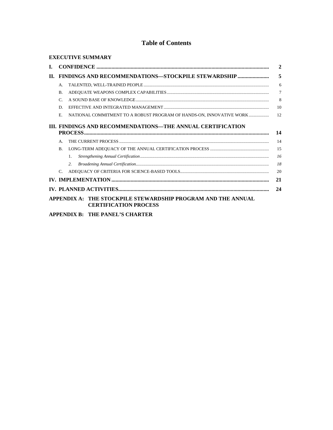## **Table of Contents**

| <b>EXECUTIVE SUMMARY</b>                                                                     |                                                                  |                                                                      |                |  |
|----------------------------------------------------------------------------------------------|------------------------------------------------------------------|----------------------------------------------------------------------|----------------|--|
| L.                                                                                           |                                                                  | $\overline{2}$                                                       |                |  |
| II.                                                                                          | <b>FINDINGS AND RECOMMENDATIONS-STOCKPILE STEWARDSHIP </b>       |                                                                      |                |  |
|                                                                                              | A.                                                               |                                                                      | 6              |  |
|                                                                                              | B.                                                               |                                                                      | $\overline{7}$ |  |
|                                                                                              | $\mathcal{C}$                                                    |                                                                      | 8              |  |
|                                                                                              | D.                                                               |                                                                      | 10             |  |
|                                                                                              | E                                                                | NATIONAL COMMITMENT TO A ROBUST PROGRAM OF HANDS-ON, INNOVATIVE WORK | 12             |  |
|                                                                                              | III. FINDINGS AND RECOMMENDATIONS—THE ANNUAL CERTIFICATION<br>14 |                                                                      |                |  |
|                                                                                              | $\mathsf{A}$ .                                                   |                                                                      | 14             |  |
|                                                                                              | B.                                                               |                                                                      | 15             |  |
|                                                                                              |                                                                  | 1                                                                    | 16             |  |
|                                                                                              |                                                                  | 2.                                                                   | 18             |  |
|                                                                                              | $\mathcal{C}$ .                                                  |                                                                      | 20             |  |
| 21                                                                                           |                                                                  |                                                                      |                |  |
| 24                                                                                           |                                                                  |                                                                      |                |  |
| APPENDIX A: THE STOCKPILE STEWARDSHIP PROGRAM AND THE ANNUAL<br><b>CERTIFICATION PROCESS</b> |                                                                  |                                                                      |                |  |
|                                                                                              |                                                                  |                                                                      |                |  |

**APPENDIX B: THE PANEL'S CHARTER**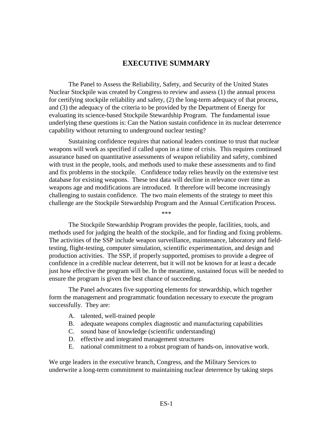## **EXECUTIVE SUMMARY**

The Panel to Assess the Reliability, Safety, and Security of the United States Nuclear Stockpile was created by Congress to review and assess (1) the annual process for certifying stockpile reliability and safety, (2) the long-term adequacy of that process, and (3) the adequacy of the criteria to be provided by the Department of Energy for evaluating its science-based Stockpile Stewardship Program. The fundamental issue underlying these questions is: Can the Nation sustain confidence in its nuclear deterrence capability without returning to underground nuclear testing?

Sustaining confidence requires that national leaders continue to trust that nuclear weapons will work as specified if called upon in a time of crisis. This requires continued assurance based on quantitative assessments of weapon reliability and safety, combined with trust in the people, tools, and methods used to make these assessments and to find and fix problems in the stockpile. Confidence today relies heavily on the extensive test database for existing weapons. These test data will decline in relevance over time as weapons age and modifications are introduced. It therefore will become increasingly challenging to sustain confidence. The two main elements of the strategy to meet this challenge are the Stockpile Stewardship Program and the Annual Certification Process.

\*\*\*

The Stockpile Stewardship Program provides the people, facilities, tools, and methods used for judging the health of the stockpile, and for finding and fixing problems. The activities of the SSP include weapon surveillance, maintenance, laboratory and fieldtesting, flight-testing, computer simulation, scientific experimentation, and design and production activities. The SSP, if properly supported, promises to provide a degree of confidence in a credible nuclear deterrent, but it will not be known for at least a decade just how effective the program will be. In the meantime, sustained focus will be needed to ensure the program is given the best chance of succeeding.

The Panel advocates five supporting elements for stewardship, which together form the management and programmatic foundation necessary to execute the program successfully. They are:

- A. talented, well-trained people
- B. adequate weapons complex diagnostic and manufacturing capabilities
- C. sound base of knowledge (scientific understanding)
- D. effective and integrated management structures
- E. national commitment to a robust program of hands-on, innovative work.

We urge leaders in the executive branch, Congress, and the Military Services to underwrite a long-term commitment to maintaining nuclear deterrence by taking steps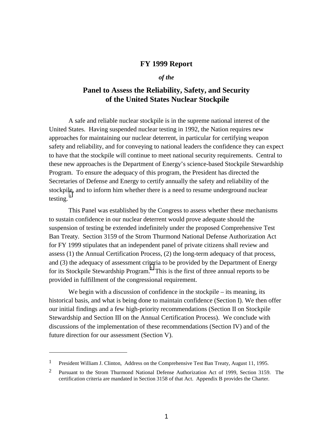## **FY 1999 Report**

#### *of the*

## **Panel to Assess the Reliability, Safety, and Security of the United States Nuclear Stockpile**

A safe and reliable nuclear stockpile is in the supreme national interest of the United States. Having suspended nuclear testing in 1992, the Nation requires new approaches for maintaining our nuclear deterrent, in particular for certifying weapon safety and reliability, and for conveying to national leaders the confidence they can expect to have that the stockpile will continue to meet national security requirements. Central to these new approaches is the Department of Energy's science-based Stockpile Stewardship Program. To ensure the adequacy of this program, the President has directed the Secretaries of Defense and Energy to certify annually the safety and reliability of the stockpile, and to inform him whether there is a need to resume underground nuclear testing. $1$ 

This Panel was established by the Congress to assess whether these mechanisms to sustain confidence in our nuclear deterrent would prove adequate should the suspension of testing be extended indefinitely under the proposed Comprehensive Test Ban Treaty. Section 3159 of the Strom Thurmond National Defense Authorization Act for FY 1999 stipulates that an independent panel of private citizens shall review and assess (1) the Annual Certification Process, (2) the long-term adequacy of that process, and (3) the adequacy of assessment criteria to be provided by the Department of Energy for its Stockpile Stewardship Program.<sup>2</sup> This is the first of three annual reports to be provided in fulfillment of the congressional requirement.

We begin with a discussion of confidence in the stockpile – its meaning, its historical basis, and what is being done to maintain confidence (Section I). We then offer our initial findings and a few high-priority recommendations (Section II on Stockpile Stewardship and Section III on the Annual Certification Process). We conclude with discussions of the implementation of these recommendations (Section IV) and of the future direction for our assessment (Section V).

 $\overline{a}$ 

<sup>&</sup>lt;sup>1</sup> President William J. Clinton, Address on the Comprehensive Test Ban Treaty, August 11, 1995.

<sup>&</sup>lt;sup>2</sup> Pursuant to the Strom Thurmond National Defense Authorization Act of 1999, Section 3159. The certification criteria are mandated in Section 3158 of that Act. Appendix B provides the Charter.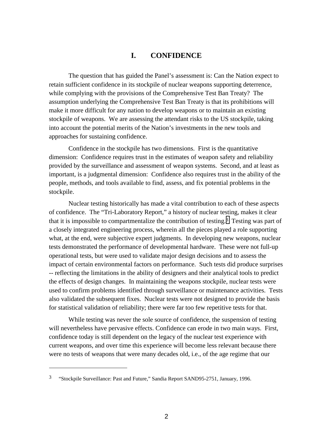## **I. CONFIDENCE**

The question that has guided the Panel's assessment is: Can the Nation expect to retain sufficient confidence in its stockpile of nuclear weapons supporting deterrence, while complying with the provisions of the Comprehensive Test Ban Treaty? The assumption underlying the Comprehensive Test Ban Treaty is that its prohibitions will make it more difficult for any nation to develop weapons or to maintain an existing stockpile of weapons. We are assessing the attendant risks to the US stockpile, taking into account the potential merits of the Nation's investments in the new tools and approaches for sustaining confidence.

Confidence in the stockpile has two dimensions. First is the quantitative dimension: Confidence requires trust in the estimates of weapon safety and reliability provided by the surveillance and assessment of weapon systems. Second, and at least as important, is a judgmental dimension: Confidence also requires trust in the ability of the people, methods, and tools available to find, assess, and fix potential problems in the stockpile.

Nuclear testing historically has made a vital contribution to each of these aspects of confidence. The "Tri-Laboratory Report," a history of nuclear testing, makes it clear that it is impossible to compartmentalize the contribution of testing.3 Testing was part of a closely integrated engineering process, wherein all the pieces played a role supporting what, at the end, were subjective expert judgments. In developing new weapons, nuclear tests demonstrated the performance of developmental hardware. These were not full-up operational tests, but were used to validate major design decisions and to assess the impact of certain environmental factors on performance. Such tests did produce surprises -- reflecting the limitations in the ability of designers and their analytical tools to predict the effects of design changes. In maintaining the weapons stockpile, nuclear tests were used to confirm problems identified through surveillance or maintenance activities. Tests also validated the subsequent fixes. Nuclear tests were not designed to provide the basis for statistical validation of reliability; there were far too few repetitive tests for that.

While testing was never the sole source of confidence, the suspension of testing will nevertheless have pervasive effects. Confidence can erode in two main ways. First, confidence today is still dependent on the legacy of the nuclear test experience with current weapons, and over time this experience will become less relevant because there were no tests of weapons that were many decades old, i.e., of the age regime that our

 $\overline{a}$ 

<sup>&</sup>lt;sup>3</sup> "Stockpile Surveillance: Past and Future," Sandia Report SAND95-2751, January, 1996.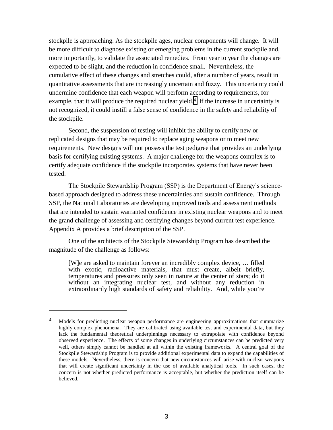stockpile is approaching. As the stockpile ages, nuclear components will change. It will be more difficult to diagnose existing or emerging problems in the current stockpile and, more importantly, to validate the associated remedies. From year to year the changes are expected to be slight, and the reduction in confidence small. Nevertheless, the cumulative effect of these changes and stretches could, after a number of years, result in quantitative assessments that are increasingly uncertain and fuzzy. This uncertainty could undermine confidence that each weapon will perform according to requirements, for example, that it will produce the required nuclear yield.<sup>4</sup> If the increase in uncertainty is not recognized, it could instill a false sense of confidence in the safety and reliability of the stockpile.

Second, the suspension of testing will inhibit the ability to certify new or replicated designs that may be required to replace aging weapons or to meet new requirements. New designs will not possess the test pedigree that provides an underlying basis for certifying existing systems. A major challenge for the weapons complex is to certify adequate confidence if the stockpile incorporates systems that have never been tested.

The Stockpile Stewardship Program (SSP) is the Department of Energy's sciencebased approach designed to address these uncertainties and sustain confidence. Through SSP, the National Laboratories are developing improved tools and assessment methods that are intended to sustain warranted confidence in existing nuclear weapons and to meet the grand challenge of assessing and certifying changes beyond current test experience. Appendix A provides a brief description of the SSP.

One of the architects of the Stockpile Stewardship Program has described the magnitude of the challenge as follows:

 $\overline{a}$ 

[W]e are asked to maintain forever an incredibly complex device, … filled with exotic, radioactive materials, that must create, albeit briefly, temperatures and pressures only seen in nature at the center of stars; do it without an integrating nuclear test, and without any reduction in extraordinarily high standards of safety and reliability. And, while you're

<sup>&</sup>lt;sup>4</sup> Models for predicting nuclear weapon performance are engineering approximations that summarize highly complex phenomena. They are calibrated using available test and experimental data, but they lack the fundamental theoretical underpinnings necessary to extrapolate with confidence beyond observed experience. The effects of some changes in underlying circumstances can be predicted very well, others simply cannot be handled at all within the existing frameworks. A central goal of the Stockpile Stewardship Program is to provide additional experimental data to expand the capabilities of these models. Nevertheless, there is concern that new circumstances will arise with nuclear weapons that will create significant uncertainty in the use of available analytical tools. In such cases, the concern is not whether predicted performance is acceptable, but whether the prediction itself can be believed.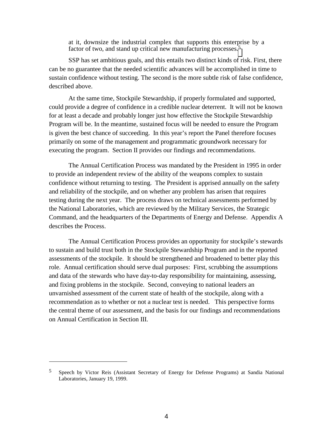at it, downsize the industrial complex that supports this enterprise by a factor of two, and stand up critical new manufacturing processes.<sup>5</sup>

SSP has set ambitious goals, and this entails two distinct kinds of risk. First, there can be no guarantee that the needed scientific advances will be accomplished in time to sustain confidence without testing. The second is the more subtle risk of false confidence, described above.

At the same time, Stockpile Stewardship, if properly formulated and supported, could provide a degree of confidence in a credible nuclear deterrent. It will not be known for at least a decade and probably longer just how effective the Stockpile Stewardship Program will be. In the meantime, sustained focus will be needed to ensure the Program is given the best chance of succeeding. In this year's report the Panel therefore focuses primarily on some of the management and programmatic groundwork necessary for executing the program. Section II provides our findings and recommendations.

The Annual Certification Process was mandated by the President in 1995 in order to provide an independent review of the ability of the weapons complex to sustain confidence without returning to testing. The President is apprised annually on the safety and reliability of the stockpile, and on whether any problem has arisen that requires testing during the next year. The process draws on technical assessments performed by the National Laboratories, which are reviewed by the Military Services, the Strategic Command, and the headquarters of the Departments of Energy and Defense. Appendix A describes the Process.

The Annual Certification Process provides an opportunity for stockpile's stewards to sustain and build trust both in the Stockpile Stewardship Program and in the reported assessments of the stockpile. It should be strengthened and broadened to better play this role. Annual certification should serve dual purposes: First, scrubbing the assumptions and data of the stewards who have day-to-day responsibility for maintaining, assessing, and fixing problems in the stockpile. Second, conveying to national leaders an unvarnished assessment of the current state of health of the stockpile, along with a recommendation as to whether or not a nuclear test is needed. This perspective forms the central theme of our assessment, and the basis for our findings and recommendations on Annual Certification in Section III.

 $\overline{a}$ 

<sup>5</sup> Speech by Victor Reis (Assistant Secretary of Energy for Defense Programs) at Sandia National Laboratories, January 19, 1999.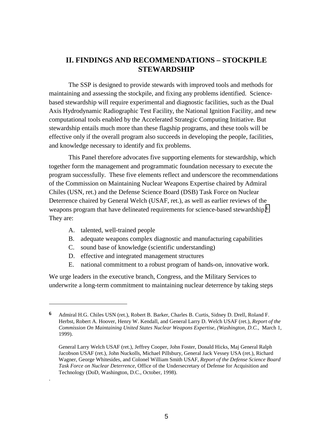# **II. FINDINGS AND RECOMMENDATIONS – STOCKPILE STEWARDSHIP**

The SSP is designed to provide stewards with improved tools and methods for maintaining and assessing the stockpile, and fixing any problems identified. Sciencebased stewardship will require experimental and diagnostic facilities, such as the Dual Axis Hydrodynamic Radiographic Test Facility, the National Ignition Facility, and new computational tools enabled by the Accelerated Strategic Computing Initiative. But stewardship entails much more than these flagship programs, and these tools will be effective only if the overall program also succeeds in developing the people, facilities, and knowledge necessary to identify and fix problems.

This Panel therefore advocates five supporting elements for stewardship, which together form the management and programmatic foundation necessary to execute the program successfully. These five elements reflect and underscore the recommendations of the Commission on Maintaining Nuclear Weapons Expertise chaired by Admiral Chiles (USN, ret.) and the Defense Science Board (DSB) Task Force on Nuclear Deterrence chaired by General Welch (USAF, ret.), as well as earlier reviews of the weapons program that have delineated requirements for science-based stewardship.6 They are:

A. talented, well-trained people

 $\overline{a}$ 

.

- B. adequate weapons complex diagnostic and manufacturing capabilities
- C. sound base of knowledge (scientific understanding)
- D. effective and integrated management structures
- E. national commitment to a robust program of hands-on, innovative work.

We urge leaders in the executive branch, Congress, and the Military Services to underwrite a long-term commitment to maintaining nuclear deterrence by taking steps

**<sup>6</sup>** Admiral H.G. Chiles USN (ret.), Robert B. Barker, Charles B. Curtis, Sidney D. Drell, Roland F. Herbst, Robert A. Hoover, Henry W. Kendall, and General Larry D. Welch USAF (ret.), *Report of the Commission On Maintaining United States Nuclear Weapons Expertise, (Washington, D.C.,* March 1, 1999).

General Larry Welch USAF (ret.), Jeffrey Cooper, John Foster, Donald Hicks, Maj General Ralph Jacobson USAF (ret.), John Nuckolls, Michael Pillsbury, General Jack Vessey USA (ret.), Richard Wagner, George Whitesides, and Colonel William Smith USAF, *Report of the Defense Science Board Task Force on Nuclear Deterrence,* Office of the Undersecretary of Defense for Acquisition and Technology (DoD, Washington, D.C., October, 1998).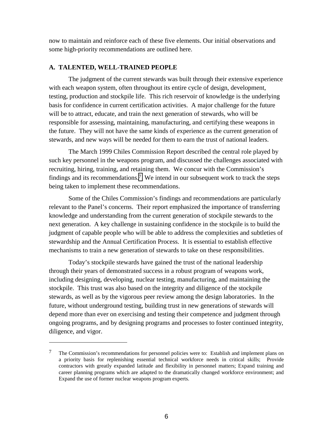now to maintain and reinforce each of these five elements. Our initial observations and some high-priority recommendations are outlined here.

#### **A. TALENTED, WELL-TRAINED PEOPLE**

 $\overline{a}$ 

The judgment of the current stewards was built through their extensive experience with each weapon system, often throughout its entire cycle of design, development, testing, production and stockpile life. This rich reservoir of knowledge is the underlying basis for confidence in current certification activities. A major challenge for the future will be to attract, educate, and train the next generation of stewards, who will be responsible for assessing, maintaining, manufacturing, and certifying these weapons in the future. They will not have the same kinds of experience as the current generation of stewards, and new ways will be needed for them to earn the trust of national leaders.

The March 1999 Chiles Commission Report described the central role played by such key personnel in the weapons program, and discussed the challenges associated with recruiting, hiring, training, and retaining them. We concur with the Commission's findings and its recommendations.<sup>7</sup> We intend in our subsequent work to track the steps being taken to implement these recommendations.

Some of the Chiles Commission's findings and recommendations are particularly relevant to the Panel's concerns. Their report emphasized the importance of transferring knowledge and understanding from the current generation of stockpile stewards to the next generation. A key challenge in sustaining confidence in the stockpile is to build the judgment of capable people who will be able to address the complexities and subtleties of stewardship and the Annual Certification Process. It is essential to establish effective mechanisms to train a new generation of stewards to take on these responsibilities.

Today's stockpile stewards have gained the trust of the national leadership through their years of demonstrated success in a robust program of weapons work, including designing, developing, nuclear testing, manufacturing, and maintaining the stockpile. This trust was also based on the integrity and diligence of the stockpile stewards, as well as by the vigorous peer review among the design laboratories. In the future, without underground testing, building trust in new generations of stewards will depend more than ever on exercising and testing their competence and judgment through ongoing programs, and by designing programs and processes to foster continued integrity, diligence, and vigor.

<sup>7</sup> The Commission's recommendations for personnel policies were to: Establish and implement plans on a priority basis for replenishing essential technical workforce needs in critical skills; Provide contractors with greatly expanded latitude and flexibility in personnel matters; Expand training and career planning programs which are adapted to the dramatically changed workforce environment; and Expand the use of former nuclear weapons program experts.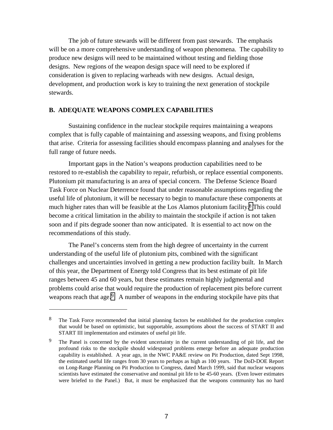The job of future stewards will be different from past stewards. The emphasis will be on a more comprehensive understanding of weapon phenomena. The capability to produce new designs will need to be maintained without testing and fielding those designs. New regions of the weapon design space will need to be explored if consideration is given to replacing warheads with new designs. Actual design, development, and production work is key to training the next generation of stockpile stewards.

#### **B. ADEQUATE WEAPONS COMPLEX CAPABILITIES**

Sustaining confidence in the nuclear stockpile requires maintaining a weapons complex that is fully capable of maintaining and assessing weapons, and fixing problems that arise. Criteria for assessing facilities should encompass planning and analyses for the full range of future needs.

Important gaps in the Nation's weapons production capabilities need to be restored to re-establish the capability to repair, refurbish, or replace essential components. Plutonium pit manufacturing is an area of special concern. The Defense Science Board Task Force on Nuclear Deterrence found that under reasonable assumptions regarding the useful life of plutonium, it will be necessary to begin to manufacture these components at much higher rates than will be feasible at the Los Alamos plutonium facility.8 This could become a critical limitation in the ability to maintain the stockpile if action is not taken soon and if pits degrade sooner than now anticipated. It is essential to act now on the recommendations of this study.

The Panel's concerns stem from the high degree of uncertainty in the current understanding of the useful life of plutonium pits, combined with the significant challenges and uncertainties involved in getting a new production facility built. In March of this year, the Department of Energy told Congress that its best estimate of pit life ranges between 45 and 60 years, but these estimates remain highly judgmental and problems could arise that would require the production of replacement pits before current weapons reach that age.<sup>9</sup> A number of weapons in the enduring stockpile have pits that

 $\overline{a}$ 

<sup>&</sup>lt;sup>8</sup> The Task Force recommended that initial planning factors be established for the production complex that would be based on optimistic, but supportable, assumptions about the success of START II and START III implementation and estimates of useful pit life.

<sup>&</sup>lt;sup>9</sup> The Panel is concerned by the evident uncertainty in the current understanding of pit life, and the profound risks to the stockpile should widespread problems emerge before an adequate production capability is established. A year ago, in the NWC PA&E review on Pit Production, dated Sept 1998, the estimated useful life ranges from 30 years to perhaps as high as 100 years. The DoD-DOE Report on Long-Range Planning on Pit Production to Congress, dated March 1999, said that nuclear weapons scientists have estimated the conservative and nominal pit life to be 45-60 years. (Even lower estimates were briefed to the Panel.) But, it must be emphasized that the weapons community has no hard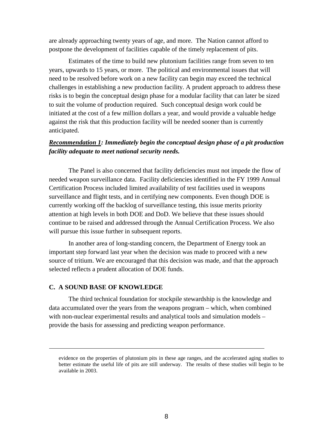are already approaching twenty years of age, and more. The Nation cannot afford to postpone the development of facilities capable of the timely replacement of pits.

Estimates of the time to build new plutonium facilities range from seven to ten years, upwards to 15 years, or more. The political and environmental issues that will need to be resolved before work on a new facility can begin may exceed the technical challenges in establishing a new production facility. A prudent approach to address these risks is to begin the conceptual design phase for a modular facility that can later be sized to suit the volume of production required. Such conceptual design work could be initiated at the cost of a few million dollars a year, and would provide a valuable hedge against the risk that this production facility will be needed sooner than is currently anticipated.

## *Recommendation 1: Immediately begin the conceptual design phase of a pit production facility adequate to meet national security needs.*

The Panel is also concerned that facility deficiencies must not impede the flow of needed weapon surveillance data. Facility deficiencies identified in the FY 1999 Annual Certification Process included limited availability of test facilities used in weapons surveillance and flight tests, and in certifying new components. Even though DOE is currently working off the backlog of surveillance testing, this issue merits priority attention at high levels in both DOE and DoD. We believe that these issues should continue to be raised and addressed through the Annual Certification Process. We also will pursue this issue further in subsequent reports.

In another area of long-standing concern, the Department of Energy took an important step forward last year when the decision was made to proceed with a new source of tritium. We are encouraged that this decision was made, and that the approach selected reflects a prudent allocation of DOE funds.

## **C. A SOUND BASE OF KNOWLEDGE**

 $\overline{a}$ 

The third technical foundation for stockpile stewardship is the knowledge and data accumulated over the years from the weapons program – which, when combined with non-nuclear experimental results and analytical tools and simulation models – provide the basis for assessing and predicting weapon performance.

evidence on the properties of plutonium pits in these age ranges, and the accelerated aging studies to better estimate the useful life of pits are still underway. The results of these studies will begin to be available in 2003.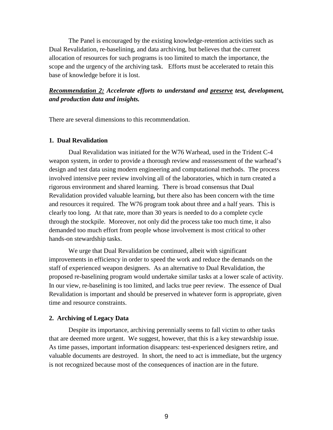The Panel is encouraged by the existing knowledge-retention activities such as Dual Revalidation, re-baselining, and data archiving, but believes that the current allocation of resources for such programs is too limited to match the importance, the scope and the urgency of the archiving task. Efforts must be accelerated to retain this base of knowledge before it is lost.

## *Recommendation 2: Accelerate efforts to understand and preserve test, development, and production data and insights.*

There are several dimensions to this recommendation.

#### **1. Dual Revalidation**

Dual Revalidation was initiated for the W76 Warhead, used in the Trident C-4 weapon system, in order to provide a thorough review and reassessment of the warhead's design and test data using modern engineering and computational methods. The process involved intensive peer review involving all of the laboratories, which in turn created a rigorous environment and shared learning. There is broad consensus that Dual Revalidation provided valuable learning, but there also has been concern with the time and resources it required. The W76 program took about three and a half years. This is clearly too long. At that rate, more than 30 years is needed to do a complete cycle through the stockpile. Moreover, not only did the process take too much time, it also demanded too much effort from people whose involvement is most critical to other hands-on stewardship tasks.

We urge that Dual Revalidation be continued, albeit with significant improvements in efficiency in order to speed the work and reduce the demands on the staff of experienced weapon designers. As an alternative to Dual Revalidation, the proposed re-baselining program would undertake similar tasks at a lower scale of activity. In our view, re-baselining is too limited, and lacks true peer review. The essence of Dual Revalidation is important and should be preserved in whatever form is appropriate, given time and resource constraints.

#### **2. Archiving of Legacy Data**

Despite its importance, archiving perennially seems to fall victim to other tasks that are deemed more urgent. We suggest, however, that this is a key stewardship issue. As time passes, important information disappears: test-experienced designers retire, and valuable documents are destroyed. In short, the need to act is immediate, but the urgency is not recognized because most of the consequences of inaction are in the future.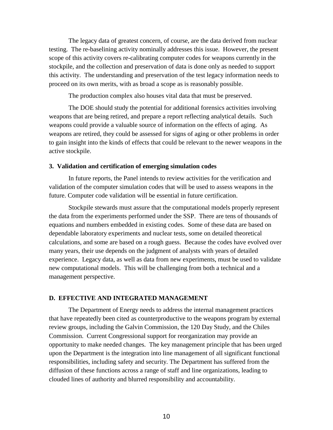The legacy data of greatest concern, of course, are the data derived from nuclear testing. The re-baselining activity nominally addresses this issue. However, the present scope of this activity covers re-calibrating computer codes for weapons currently in the stockpile, and the collection and preservation of data is done only as needed to support this activity. The understanding and preservation of the test legacy information needs to proceed on its own merits, with as broad a scope as is reasonably possible.

The production complex also houses vital data that must be preserved.

The DOE should study the potential for additional forensics activities involving weapons that are being retired, and prepare a report reflecting analytical details. Such weapons could provide a valuable source of information on the effects of aging. As weapons are retired, they could be assessed for signs of aging or other problems in order to gain insight into the kinds of effects that could be relevant to the newer weapons in the active stockpile.

#### **3. Validation and certification of emerging simulation codes**

In future reports, the Panel intends to review activities for the verification and validation of the computer simulation codes that will be used to assess weapons in the future. Computer code validation will be essential in future certification.

Stockpile stewards must assure that the computational models properly represent the data from the experiments performed under the SSP. There are tens of thousands of equations and numbers embedded in existing codes. Some of these data are based on dependable laboratory experiments and nuclear tests, some on detailed theoretical calculations, and some are based on a rough guess. Because the codes have evolved over many years, their use depends on the judgment of analysts with years of detailed experience. Legacy data, as well as data from new experiments, must be used to validate new computational models. This will be challenging from both a technical and a management perspective.

#### **D. EFFECTIVE AND INTEGRATED MANAGEMENT**

The Department of Energy needs to address the internal management practices that have repeatedly been cited as counterproductive to the weapons program by external review groups, including the Galvin Commission, the 120 Day Study, and the Chiles Commission. Current Congressional support for reorganization may provide an opportunity to make needed changes. The key management principle that has been urged upon the Department is the integration into line management of all significant functional responsibilities, including safety and security. The Department has suffered from the diffusion of these functions across a range of staff and line organizations, leading to clouded lines of authority and blurred responsibility and accountability.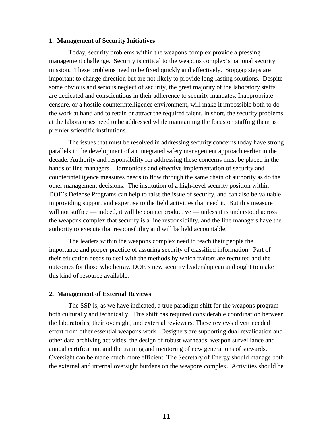#### **1. Management of Security Initiatives**

Today, security problems within the weapons complex provide a pressing management challenge. Security is critical to the weapons complex's national security mission. These problems need to be fixed quickly and effectively. Stopgap steps are important to change direction but are not likely to provide long-lasting solutions. Despite some obvious and serious neglect of security, the great majority of the laboratory staffs are dedicated and conscientious in their adherence to security mandates. Inappropriate censure, or a hostile counterintelligence environment, will make it impossible both to do the work at hand and to retain or attract the required talent. In short, the security problems at the laboratories need to be addressed while maintaining the focus on staffing them as premier scientific institutions.

The issues that must be resolved in addressing security concerns today have strong parallels in the development of an integrated safety management approach earlier in the decade. Authority and responsibility for addressing these concerns must be placed in the hands of line managers. Harmonious and effective implementation of security and counterintelligence measures needs to flow through the same chain of authority as do the other management decisions. The institution of a high-level security position within DOE's Defense Programs can help to raise the issue of security, and can also be valuable in providing support and expertise to the field activities that need it. But this measure will not suffice — indeed, it will be counterproductive — unless it is understood across the weapons complex that security is a line responsibility, and the line managers have the authority to execute that responsibility and will be held accountable.

The leaders within the weapons complex need to teach their people the importance and proper practice of assuring security of classified information. Part of their education needs to deal with the methods by which traitors are recruited and the outcomes for those who betray. DOE's new security leadership can and ought to make this kind of resource available.

#### **2. Management of External Reviews**

The SSP is, as we have indicated, a true paradigm shift for the weapons program – both culturally and technically. This shift has required considerable coordination between the laboratories, their oversight, and external reviewers. These reviews divert needed effort from other essential weapons work. Designers are supporting dual revalidation and other data archiving activities, the design of robust warheads, weapon surveillance and annual certification, and the training and mentoring of new generations of stewards. Oversight can be made much more efficient. The Secretary of Energy should manage both the external and internal oversight burdens on the weapons complex. Activities should be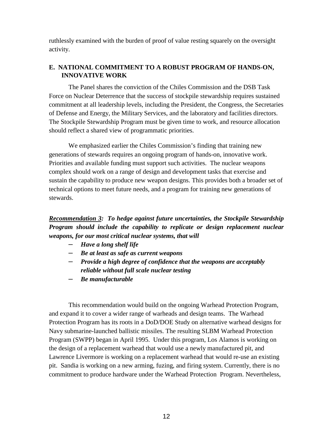ruthlessly examined with the burden of proof of value resting squarely on the oversight activity.

## **E. NATIONAL COMMITMENT TO A ROBUST PROGRAM OF HANDS-ON, INNOVATIVE WORK**

The Panel shares the conviction of the Chiles Commission and the DSB Task Force on Nuclear Deterrence that the success of stockpile stewardship requires sustained commitment at all leadership levels, including the President, the Congress, the Secretaries of Defense and Energy, the Military Services, and the laboratory and facilities directors. The Stockpile Stewardship Program must be given time to work, and resource allocation should reflect a shared view of programmatic priorities.

We emphasized earlier the Chiles Commission's finding that training new generations of stewards requires an ongoing program of hands-on, innovative work. Priorities and available funding must support such activities. The nuclear weapons complex should work on a range of design and development tasks that exercise and sustain the capability to produce new weapon designs. This provides both a broader set of technical options to meet future needs, and a program for training new generations of stewards.

## *Recommendation 3: To hedge against future uncertainties, the Stockpile Stewardship Program should include the capability to replicate or design replacement nuclear weapons, for our most critical nuclear systems, that will*

- *Have a long shelf life*
- *Be at least as safe as current weapons*
- *Provide a high degree of confidence that the weapons are acceptably reliable without full scale nuclear testing*
- *Be manufacturable*

This recommendation would build on the ongoing Warhead Protection Program, and expand it to cover a wider range of warheads and design teams. The Warhead Protection Program has its roots in a DoD/DOE Study on alternative warhead designs for Navy submarine-launched ballistic missiles. The resulting SLBM Warhead Protection Program (SWPP) began in April 1995. Under this program, Los Alamos is working on the design of a replacement warhead that would use a newly manufactured pit, and Lawrence Livermore is working on a replacement warhead that would re-use an existing pit. Sandia is working on a new arming, fuzing, and firing system. Currently, there is no commitment to produce hardware under the Warhead Protection Program. Nevertheless,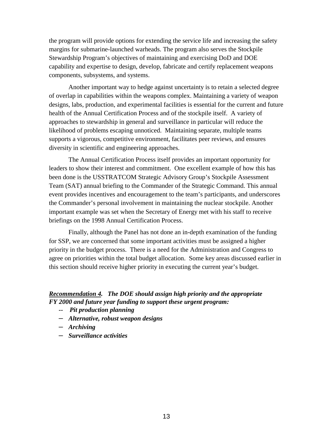the program will provide options for extending the service life and increasing the safety margins for submarine-launched warheads. The program also serves the Stockpile Stewardship Program's objectives of maintaining and exercising DoD and DOE capability and expertise to design, develop, fabricate and certify replacement weapons components, subsystems, and systems.

Another important way to hedge against uncertainty is to retain a selected degree of overlap in capabilities within the weapons complex. Maintaining a variety of weapon designs, labs, production, and experimental facilities is essential for the current and future health of the Annual Certification Process and of the stockpile itself. A variety of approaches to stewardship in general and surveillance in particular will reduce the likelihood of problems escaping unnoticed. Maintaining separate, multiple teams supports a vigorous, competitive environment, facilitates peer reviews, and ensures diversity in scientific and engineering approaches.

The Annual Certification Process itself provides an important opportunity for leaders to show their interest and commitment. One excellent example of how this has been done is the USSTRATCOM Strategic Advisory Group's Stockpile Assessment Team (SAT) annual briefing to the Commander of the Strategic Command. This annual event provides incentives and encouragement to the team's participants, and underscores the Commander's personal involvement in maintaining the nuclear stockpile. Another important example was set when the Secretary of Energy met with his staff to receive briefings on the 1998 Annual Certification Process.

Finally, although the Panel has not done an in-depth examination of the funding for SSP, we are concerned that some important activities must be assigned a higher priority in the budget process. There is a need for the Administration and Congress to agree on priorities within the total budget allocation. Some key areas discussed earlier in this section should receive higher priority in executing the current year's budget.

## *Recommendation 4. The DOE should assign high priority and the appropriate FY 2000 and future year funding to support these urgent program:*

- *-- Pit production planning*
- *Alternative, robust weapon designs*
- *Archiving*
- *Surveillance activities*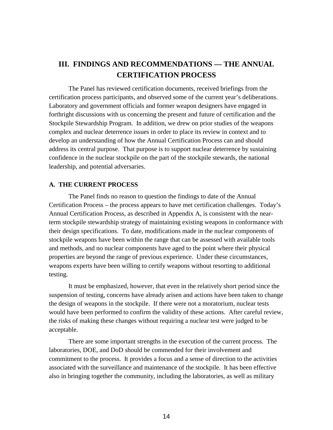# **III. FINDINGS AND RECOMMENDATIONS — THE ANNUAL CERTIFICATION PROCESS**

The Panel has reviewed certification documents, received briefings from the certification process participants, and observed some of the current year's deliberations. Laboratory and government officials and former weapon designers have engaged in forthright discussions with us concerning the present and future of certification and the Stockpile Stewardship Program. In addition, we drew on prior studies of the weapons complex and nuclear deterrence issues in order to place its review in context and to develop an understanding of how the Annual Certification Process can and should address its central purpose. That purpose is to support nuclear deterrence by sustaining confidence in the nuclear stockpile on the part of the stockpile stewards, the national leadership, and potential adversaries.

## **A. THE CURRENT PROCESS**

The Panel finds no reason to question the findings to date of the Annual Certification Process – the process appears to have met certification challenges. Today's Annual Certification Process, as described in Appendix A, is consistent with the nearterm stockpile stewardship strategy of maintaining existing weapons in conformance with their design specifications. To date, modifications made in the nuclear components of stockpile weapons have been within the range that can be assessed with available tools and methods, and no nuclear components have aged to the point where their physical properties are beyond the range of previous experience. Under these circumstances, weapons experts have been willing to certify weapons without resorting to additional testing.

It must be emphasized, however, that even in the relatively short period since the suspension of testing, concerns have already arisen and actions have been taken to change the design of weapons in the stockpile. If there were not a moratorium, nuclear tests would have been performed to confirm the validity of these actions. After careful review, the risks of making these changes without requiring a nuclear test were judged to be acceptable.

There are some important strengths in the execution of the current process. The laboratories, DOE, and DoD should be commended for their involvement and commitment to the process. It provides a focus and a sense of direction to the activities associated with the surveillance and maintenance of the stockpile. It has been effective also in bringing together the community, including the laboratories, as well as military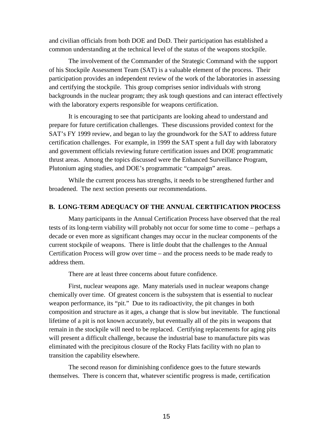and civilian officials from both DOE and DoD. Their participation has established a common understanding at the technical level of the status of the weapons stockpile.

The involvement of the Commander of the Strategic Command with the support of his Stockpile Assessment Team (SAT) is a valuable element of the process. Their participation provides an independent review of the work of the laboratories in assessing and certifying the stockpile. This group comprises senior individuals with strong backgrounds in the nuclear program; they ask tough questions and can interact effectively with the laboratory experts responsible for weapons certification.

It is encouraging to see that participants are looking ahead to understand and prepare for future certification challenges. These discussions provided context for the SAT's FY 1999 review, and began to lay the groundwork for the SAT to address future certification challenges. For example, in 1999 the SAT spent a full day with laboratory and government officials reviewing future certification issues and DOE programmatic thrust areas. Among the topics discussed were the Enhanced Surveillance Program, Plutonium aging studies, and DOE's programmatic "campaign" areas.

While the current process has strengths, it needs to be strengthened further and broadened. The next section presents our recommendations.

#### **B. LONG-TERM ADEQUACY OF THE ANNUAL CERTIFICATION PROCESS**

Many participants in the Annual Certification Process have observed that the real tests of its long-term viability will probably not occur for some time to come – perhaps a decade or even more as significant changes may occur in the nuclear components of the current stockpile of weapons. There is little doubt that the challenges to the Annual Certification Process will grow over time – and the process needs to be made ready to address them.

There are at least three concerns about future confidence.

First, nuclear weapons age. Many materials used in nuclear weapons change chemically over time. Of greatest concern is the subsystem that is essential to nuclear weapon performance, its "pit." Due to its radioactivity, the pit changes in both composition and structure as it ages, a change that is slow but inevitable. The functional lifetime of a pit is not known accurately, but eventually all of the pits in weapons that remain in the stockpile will need to be replaced. Certifying replacements for aging pits will present a difficult challenge, because the industrial base to manufacture pits was eliminated with the precipitous closure of the Rocky Flats facility with no plan to transition the capability elsewhere.

The second reason for diminishing confidence goes to the future stewards themselves. There is concern that, whatever scientific progress is made, certification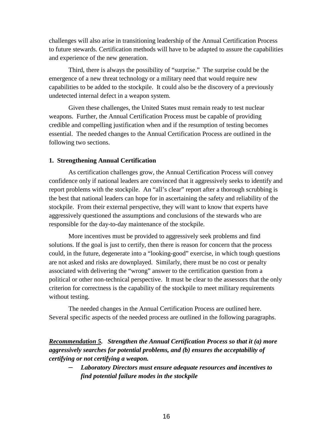challenges will also arise in transitioning leadership of the Annual Certification Process to future stewards. Certification methods will have to be adapted to assure the capabilities and experience of the new generation.

Third, there is always the possibility of "surprise." The surprise could be the emergence of a new threat technology or a military need that would require new capabilities to be added to the stockpile. It could also be the discovery of a previously undetected internal defect in a weapon system.

Given these challenges, the United States must remain ready to test nuclear weapons. Further, the Annual Certification Process must be capable of providing credible and compelling justification when and if the resumption of testing becomes essential. The needed changes to the Annual Certification Process are outlined in the following two sections.

#### **1. Strengthening Annual Certification**

As certification challenges grow, the Annual Certification Process will convey confidence only if national leaders are convinced that it aggressively seeks to identify and report problems with the stockpile. An "all's clear" report after a thorough scrubbing is the best that national leaders can hope for in ascertaining the safety and reliability of the stockpile. From their external perspective, they will want to know that experts have aggressively questioned the assumptions and conclusions of the stewards who are responsible for the day-to-day maintenance of the stockpile.

More incentives must be provided to aggressively seek problems and find solutions. If the goal is just to certify, then there is reason for concern that the process could, in the future, degenerate into a "looking-good" exercise, in which tough questions are not asked and risks are downplayed. Similarly, there must be no cost or penalty associated with delivering the "wrong" answer to the certification question from a political or other non-technical perspective. It must be clear to the assessors that the only criterion for correctness is the capability of the stockpile to meet military requirements without testing.

The needed changes in the Annual Certification Process are outlined here. Several specific aspects of the needed process are outlined in the following paragraphs.

*Recommendation 5. Strengthen the Annual Certification Process so that it (a) more aggressively searches for potential problems, and (b) ensures the acceptability of certifying or not certifying a weapon.*

– *Laboratory Directors must ensure adequate resources and incentives to find potential failure modes in the stockpile*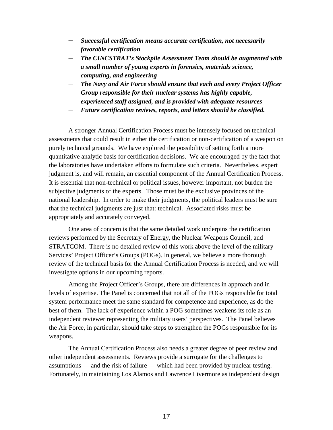- *Successful certification means accurate certification, not necessarily favorable certification*
- *The CINCSTRAT's Stockpile Assessment Team should be augmented with a small number of young experts in forensics, materials science, computing, and engineering*
- *The Navy and Air Force should ensure that each and every Project Officer Group responsible for their nuclear systems has highly capable, experienced staff assigned, and is provided with adequate resources*
- *Future certification reviews, reports, and letters should be classified.*

A stronger Annual Certification Process must be intensely focused on technical assessments that could result in either the certification or non-certification of a weapon on purely technical grounds. We have explored the possibility of setting forth a more quantitative analytic basis for certification decisions. We are encouraged by the fact that the laboratories have undertaken efforts to formulate such criteria. Nevertheless, expert judgment is, and will remain, an essential component of the Annual Certification Process. It is essential that non-technical or political issues, however important, not burden the subjective judgments of the experts. Those must be the exclusive provinces of the national leadership. In order to make their judgments, the political leaders must be sure that the technical judgments are just that: technical. Associated risks must be appropriately and accurately conveyed.

One area of concern is that the same detailed work underpins the certification reviews performed by the Secretary of Energy, the Nuclear Weapons Council, and STRATCOM. There is no detailed review of this work above the level of the military Services' Project Officer's Groups (POGs). In general, we believe a more thorough review of the technical basis for the Annual Certification Process is needed, and we will investigate options in our upcoming reports.

Among the Project Officer's Groups, there are differences in approach and in levels of expertise. The Panel is concerned that not all of the POGs responsible for total system performance meet the same standard for competence and experience, as do the best of them. The lack of experience within a POG sometimes weakens its role as an independent reviewer representing the military users' perspectives. The Panel believes the Air Force, in particular, should take steps to strengthen the POGs responsible for its weapons.

The Annual Certification Process also needs a greater degree of peer review and other independent assessments. Reviews provide a surrogate for the challenges to assumptions — and the risk of failure — which had been provided by nuclear testing. Fortunately, in maintaining Los Alamos and Lawrence Livermore as independent design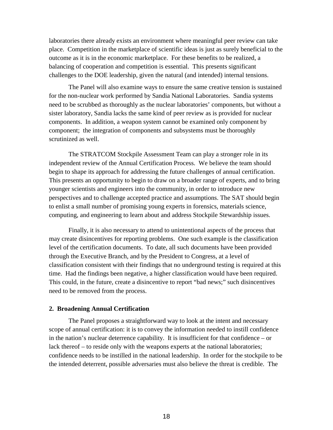laboratories there already exists an environment where meaningful peer review can take place. Competition in the marketplace of scientific ideas is just as surely beneficial to the outcome as it is in the economic marketplace. For these benefits to be realized, a balancing of cooperation and competition is essential. This presents significant challenges to the DOE leadership, given the natural (and intended) internal tensions.

The Panel will also examine ways to ensure the same creative tension is sustained for the non-nuclear work performed by Sandia National Laboratories. Sandia systems need to be scrubbed as thoroughly as the nuclear laboratories' components, but without a sister laboratory, Sandia lacks the same kind of peer review as is provided for nuclear components. In addition, a weapon system cannot be examined only component by component; the integration of components and subsystems must be thoroughly scrutinized as well.

The STRATCOM Stockpile Assessment Team can play a stronger role in its independent review of the Annual Certification Process. We believe the team should begin to shape its approach for addressing the future challenges of annual certification. This presents an opportunity to begin to draw on a broader range of experts, and to bring younger scientists and engineers into the community, in order to introduce new perspectives and to challenge accepted practice and assumptions. The SAT should begin to enlist a small number of promising young experts in forensics, materials science, computing, and engineering to learn about and address Stockpile Stewardship issues.

Finally, it is also necessary to attend to unintentional aspects of the process that may create disincentives for reporting problems. One such example is the classification level of the certification documents. To date, all such documents have been provided through the Executive Branch, and by the President to Congress, at a level of classification consistent with their findings that no underground testing is required at this time. Had the findings been negative, a higher classification would have been required. This could, in the future, create a disincentive to report "bad news;" such disincentives need to be removed from the process.

#### **2. Broadening Annual Certification**

The Panel proposes a straightforward way to look at the intent and necessary scope of annual certification: it is to convey the information needed to instill confidence in the nation's nuclear deterrence capability. It is insufficient for that confidence – or lack thereof – to reside only with the weapons experts at the national laboratories; confidence needs to be instilled in the national leadership. In order for the stockpile to be the intended deterrent, possible adversaries must also believe the threat is credible. The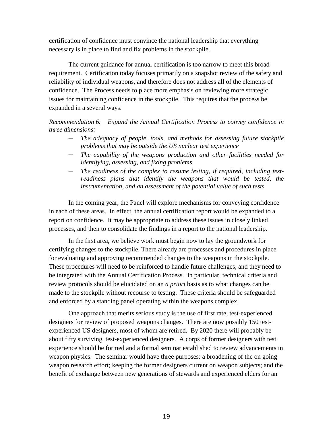certification of confidence must convince the national leadership that everything necessary is in place to find and fix problems in the stockpile.

The current guidance for annual certification is too narrow to meet this broad requirement. Certification today focuses primarily on a snapshot review of the safety and reliability of individual weapons, and therefore does not address all of the elements of confidence. The Process needs to place more emphasis on reviewing more strategic issues for maintaining confidence in the stockpile. This requires that the process be expanded in a several ways.

*Recommendation 6. Expand the Annual Certification Process to convey confidence in three dimensions:*

- *The adequacy of people, tools, and methods for assessing future stockpile problems that may be outside the US nuclear test experience*
- *The capability of the weapons production and other facilities needed for identifying, assessing, and fixing problems*
- *The readiness of the complex to resume testing, if required, including testreadiness plans that identify the weapons that would be tested, the instrumentation, and an assessment of the potential value of such tests*

In the coming year, the Panel will explore mechanisms for conveying confidence in each of these areas. In effect, the annual certification report would be expanded to a report on confidence. It may be appropriate to address these issues in closely linked processes, and then to consolidate the findings in a report to the national leadership.

In the first area, we believe work must begin now to lay the groundwork for certifying changes to the stockpile. There already are processes and procedures in place for evaluating and approving recommended changes to the weapons in the stockpile. These procedures will need to be reinforced to handle future challenges, and they need to be integrated with the Annual Certification Process. In particular, technical criteria and review protocols should be elucidated on an *a priori* basis as to what changes can be made to the stockpile without recourse to testing. These criteria should be safeguarded and enforced by a standing panel operating within the weapons complex.

One approach that merits serious study is the use of first rate, test-experienced designers for review of proposed weapons changes. There are now possibly 150 testexperienced US designers, most of whom are retired. By 2020 there will probably be about fifty surviving, test-experienced designers. A corps of former designers with test experience should be formed and a formal seminar established to review advancements in weapon physics. The seminar would have three purposes: a broadening of the on going weapon research effort; keeping the former designers current on weapon subjects; and the benefit of exchange between new generations of stewards and experienced elders for an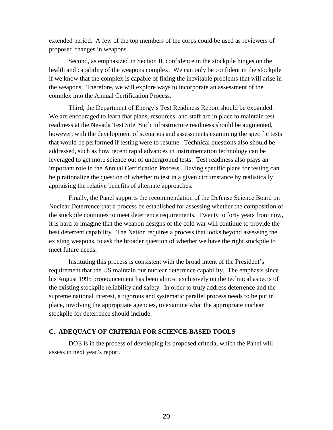extended period. A few of the top members of the corps could be used as reviewers of proposed changes in weapons.

Second, as emphasized in Section II, confidence in the stockpile hinges on the health and capability of the weapons complex. We can only be confident in the stockpile if we know that the complex is capable of fixing the inevitable problems that will arise in the weapons. Therefore, we will explore ways to incorporate an assessment of the complex into the Annual Certification Process.

Third, the Department of Energy's Test Readiness Report should be expanded. We are encouraged to learn that plans, resources, and staff are in place to maintain test readiness at the Nevada Test Site. Such infrastructure readiness should be augmented, however, with the development of scenarios and assessments examining the specific tests that would be performed if testing were to resume. Technical questions also should be addressed, such as how recent rapid advances in instrumentation technology can be leveraged to get more science out of underground tests. Test readiness also plays an important role in the Annual Certification Process. Having specific plans for testing can help rationalize the question of whether to test in a given circumstance by realistically appraising the relative benefits of alternate approaches.

Finally, the Panel supports the recommendation of the Defense Science Board on Nuclear Deterrence that a process be established for assessing whether the composition of the stockpile continues to meet deterrence requirements. Twenty to forty years from now, it is hard to imagine that the weapon designs of the cold war will continue to provide the best deterrent capability. The Nation requires a process that looks beyond assessing the existing weapons, to ask the broader question of whether we have the right stockpile to meet future needs.

Instituting this process is consistent with the broad intent of the President's requirement that the US maintain our nuclear deterrence capability. The emphasis since his August 1995 pronouncement has been almost exclusively on the technical aspects of the existing stockpile reliability and safety. In order to truly address deterrence and the supreme national interest, a rigorous and systematic parallel process needs to be put in place, involving the appropriate agencies, to examine what the appropriate nuclear stockpile for deterrence should include.

#### **C. ADEQUACY OF CRITERIA FOR SCIENCE-BASED TOOLS**

DOE is in the process of developing its proposed criteria, which the Panel will assess in next year's report.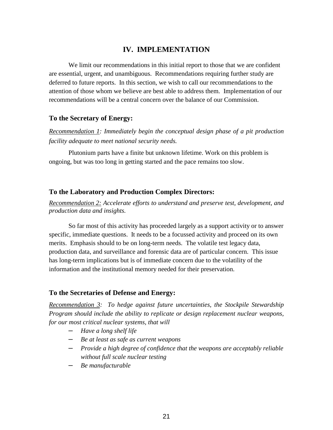## **IV. IMPLEMENTATION**

We limit our recommendations in this initial report to those that we are confident are essential, urgent, and unambiguous. Recommendations requiring further study are deferred to future reports. In this section, we wish to call our recommendations to the attention of those whom we believe are best able to address them. Implementation of our recommendations will be a central concern over the balance of our Commission.

## **To the Secretary of Energy:**

*Recommendation 1: Immediately begin the conceptual design phase of a pit production facility adequate to meet national security needs.*

Plutonium parts have a finite but unknown lifetime. Work on this problem is ongoing, but was too long in getting started and the pace remains too slow.

## **To the Laboratory and Production Complex Directors:**

*Recommendation 2: Accelerate efforts to understand and preserve test, development, and production data and insights.*

So far most of this activity has proceeded largely as a support activity or to answer specific, immediate questions. It needs to be a focussed activity and proceed on its own merits. Emphasis should to be on long-term needs. The volatile test legacy data, production data, and surveillance and forensic data are of particular concern. This issue has long-term implications but is of immediate concern due to the volatility of the information and the institutional memory needed for their preservation.

## **To the Secretaries of Defense and Energy:**

*Recommendation 3: To hedge against future uncertainties, the Stockpile Stewardship Program should include the ability to replicate or design replacement nuclear weapons, for our most critical nuclear systems, that will*

- *Have a long shelf life*
- *Be at least as safe as current weapons*
- *Provide a high degree of confidence that the weapons are acceptably reliable without full scale nuclear testing*
- *Be manufacturable*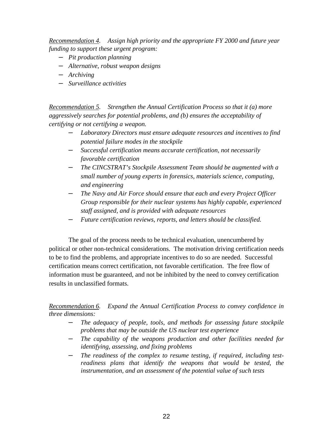*Recommendation 4. Assign high priority and the appropriate FY 2000 and future year funding to support these urgent program:*

- *Pit production planning*
- *Alternative, robust weapon designs*
- *Archiving*
- *Surveillance activities*

*Recommendation 5. Strengthen the Annual Certification Process so that it (a) more aggressively searches for potential problems, and (b) ensures the acceptability of certifying or not certifying a weapon.*

- *Laboratory Directors must ensure adequate resources and incentives to find potential failure modes in the stockpile*
- *Successful certification means accurate certification, not necessarily favorable certification*
- *The CINCSTRAT's Stockpile Assessment Team should be augmented with a small number of young experts in forensics, materials science, computing, and engineering*
- *The Navy and Air Force should ensure that each and every Project Officer Group responsible for their nuclear systems has highly capable, experienced staff assigned, and is provided with adequate resources*
- *Future certification reviews, reports, and letters should be classified.*

The goal of the process needs to be technical evaluation, unencumbered by political or other non-technical considerations. The motivation driving certification needs to be to find the problems, and appropriate incentives to do so are needed. Successful certification means correct certification, not favorable certification. The free flow of information must be guaranteed, and not be inhibited by the need to convey certification results in unclassified formats.

*Recommendation 6. Expand the Annual Certification Process to convey confidence in three dimensions:*

- *The adequacy of people, tools, and methods for assessing future stockpile problems that may be outside the US nuclear test experience*
- *The capability of the weapons production and other facilities needed for identifying, assessing, and fixing problems*
- *The readiness of the complex to resume testing, if required, including testreadiness plans that identify the weapons that would be tested, the instrumentation, and an assessment of the potential value of such tests*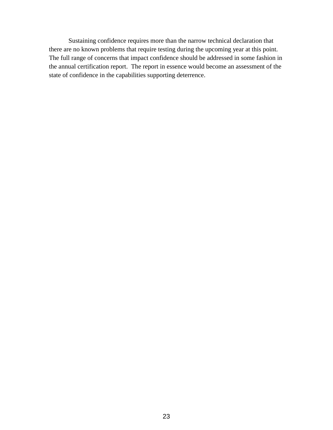Sustaining confidence requires more than the narrow technical declaration that there are no known problems that require testing during the upcoming year at this point. The full range of concerns that impact confidence should be addressed in some fashion in the annual certification report. The report in essence would become an assessment of the state of confidence in the capabilities supporting deterrence.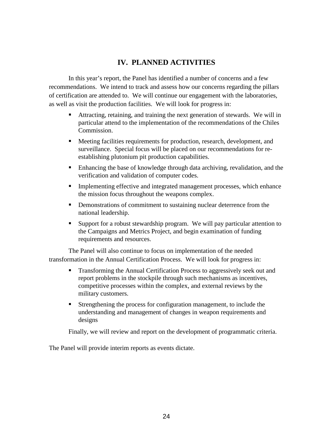# **IV. PLANNED ACTIVITIES**

In this year's report, the Panel has identified a number of concerns and a few recommendations. We intend to track and assess how our concerns regarding the pillars of certification are attended to. We will continue our engagement with the laboratories, as well as visit the production facilities. We will look for progress in:

- Attracting, retaining, and training the next generation of stewards. We will in particular attend to the implementation of the recommendations of the Chiles Commission.
- Meeting facilities requirements for production, research, development, and surveillance. Special focus will be placed on our recommendations for reestablishing plutonium pit production capabilities.
- Enhancing the base of knowledge through data archiving, revalidation, and the verification and validation of computer codes.
- **Implementing effective and integrated management processes, which enhance** the mission focus throughout the weapons complex.
- **•** Demonstrations of commitment to sustaining nuclear deterrence from the national leadership.
- Support for a robust stewardship program. We will pay particular attention to the Campaigns and Metrics Project, and begin examination of funding requirements and resources.

The Panel will also continue to focus on implementation of the needed transformation in the Annual Certification Process. We will look for progress in:

- **Transforming the Annual Certification Process to aggressively seek out and** report problems in the stockpile through such mechanisms as incentives, competitive processes within the complex, and external reviews by the military customers.
- Strengthening the process for configuration management, to include the understanding and management of changes in weapon requirements and designs

Finally, we will review and report on the development of programmatic criteria.

The Panel will provide interim reports as events dictate.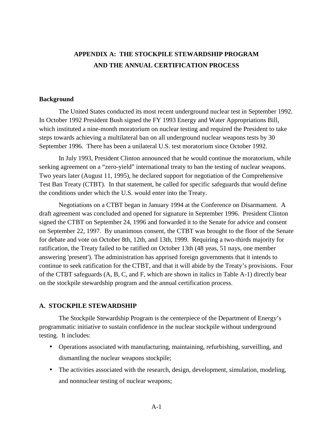# **APPENDIX A: THE STOCKPILE STEWARDSHIP PROGRAM AND THE ANNUAL CERTIFICATION PROCESS**

#### **Background**

The United States conducted its most recent underground nuclear test in September 1992. In October 1992 President Bush signed the FY 1993 Energy and Water Appropriations Bill, which instituted a nine-month moratorium on nuclear testing and required the President to take steps towards achieving a multilateral ban on all underground nuclear weapons tests by 30 September 1996. There has been a unilateral U.S. test moratorium since October 1992.

In July 1993, President Clinton announced that he would continue the moratorium, while seeking agreement on a "zero-yield" international treaty to ban the testing of nuclear weapons. Two years later (August 11, 1995), he declared support for negotiation of the Comprehensive Test Ban Treaty (CTBT). In that statement, he called for specific safeguards that would define the conditions under which the U.S. would enter into the Treaty.

Negotiations on a CTBT began in January 1994 at the Conference on Disarmament. A draft agreement was concluded and opened for signature in September 1996. President Clinton signed the CTBT on September 24, 1996 and forwarded it to the Senate for advice and consent on September 22, 1997. By unanimous consent, the CTBT was brought to the floor of the Senate for debate and vote on October 8th, 12th, and 13th, 1999. Requiring a two-thirds majority for ratification, the Treaty failed to be ratified on October 13th (48 yeas, 51 nays, one member answering 'present'). The administration has apprised foreign governments that it intends to continue to seek ratification for the CTBT, and that it will abide by the Treaty's provisions. Four of the CTBT safeguards (A, B, C, and F, which are shown in italics in Table A-1) directly bear on the stockpile stewardship program and the annual certification process.

#### **A. STOCKPILE STEWARDSHIP**

The Stockpile Stewardship Program is the centerpiece of the Department of Energy's programmatic initiative to sustain confidence in the nuclear stockpile without underground testing. It includes:

- Operations associated with manufacturing, maintaining, refurbishing, surveilling, and dismantling the nuclear weapons stockpile;
- The activities associated with the research, design, development, simulation, modeling, and nonnuclear testing of nuclear weapons;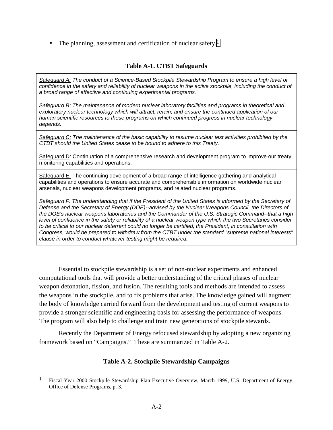• The planning, assessment and certification of nuclear safety.<sup>1</sup>

## **Table A-1. CTBT Safeguards**

*Safeguard A: The conduct of a Science-Based Stockpile Stewardship Program to ensure a high level of confidence in the safety and reliability of nuclear weapons in the active stockpile, including the conduct of a broad range of effective and continuing experimental programs.*

*Safeguard B: The maintenance of modern nuclear laboratory facilities and programs in theoretical and exploratory nuclear technology which will attract, retain, and ensure the continued application of our human scientific resources to those programs on which continued progress in nuclear technology depends.*

*Safeguard C: The maintenance of the basic capability to resume nuclear test activities prohibited by the CTBT should the United States cease to be bound to adhere to this Treaty.*

Safeguard D: Continuation of a comprehensive research and development program to improve our treaty monitoring capabilities and operations.

Safeguard E: The continuing development of a broad range of intelligence gathering and analytical capabilities and operations to ensure accurate and comprehensible information on worldwide nuclear arsenals, nuclear weapons development programs, and related nuclear programs.

*Safeguard F: The understanding that if the President of the United States is informed by the Secretary of Defense and the Secretary of Energy (DOE)--advised by the Nuclear Weapons Council, the Directors of the DOE's nuclear weapons laboratories and the Commander of the U.S. Strategic Command--that a high level of confidence in the safety or reliability of a nuclear weapon type which the two Secretaries consider to be critical to our nuclear deterrent could no longer be certified, the President, in consultation with Congress, would be prepared to withdraw from the CTBT under the standard "supreme national interests" clause in order to conduct whatever testing might be required.*

Essential to stockpile stewardship is a set of non-nuclear experiments and enhanced computational tools that will provide a better understanding of the critical phases of nuclear weapon detonation, fission, and fusion. The resulting tools and methods are intended to assess the weapons in the stockpile, and to fix problems that arise. The knowledge gained will augment the body of knowledge carried forward from the development and testing of current weapons to provide a stronger scientific and engineering basis for assessing the performance of weapons. The program will also help to challenge and train new generations of stockpile stewards.

Recently the Department of Energy refocused stewardship by adopting a new organizing framework based on "Campaigns." These are summarized in Table A-2.

## **Table A-2. Stockpile Stewardship Campaigns**

 $\overline{a}$ 

<sup>&</sup>lt;sup>1</sup> Fiscal Year 2000 Stockpile Stewardship Plan Executive Overview, March 1999, U.S. Department of Energy, Office of Defense Programs, p. 3.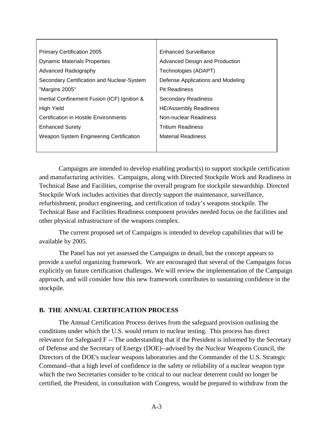| <b>Primary Certification 2005</b>            | <b>Enhanced Surveillance</b>          |
|----------------------------------------------|---------------------------------------|
| <b>Dynamic Materials Properties</b>          | <b>Advanced Design and Production</b> |
| <b>Advanced Radiography</b>                  | Technologies (ADAPT)                  |
| Secondary Certification and Nuclear-System   | Defense Applications and Modeling     |
| "Margins 2005"                               | <b>Pit Readiness</b>                  |
| Inertial Confinement Fusion (ICF) Ignition & | <b>Secondary Readiness</b>            |
| High Yield                                   | <b>HE/Assembly Readiness</b>          |
| Certification in Hostile Environments        | Non-nuclear Readiness                 |
| <b>Enhanced Surety</b>                       | <b>Tritium Readiness</b>              |
| Weapon System Engineering Certification      | <b>Material Readiness</b>             |
|                                              |                                       |

Campaigns are intended to develop enabling product(s) to support stockpile certification and manufacturing activities. Campaigns, along with Directed Stockpile Work and Readiness in Technical Base and Facilities, comprise the overall program for stockpile stewardship. Directed Stockpile Work includes activities that directly support the maintenance, surveillance, refurbishment, product engineering, and certification of today's weapons stockpile. The Technical Base and Facilities Readiness component provides needed focus on the facilities and other physical infrastructure of the weapons complex.

The current proposed set of Campaigns is intended to develop capabilities that will be available by 2005.

The Panel has not yet assessed the Campaigns in detail, but the concept appears to provide a useful organizing framework. We are encouraged that several of the Campaigns focus explicitly on future certification challenges. We will review the implementation of the Campaign approach, and will consider how this new framework contributes to sustaining confidence in the stockpile.

## **B. THE ANNUAL CERTIFICATION PROCESS**

The Annual Certification Process derives from the safeguard provision outlining the conditions under which the U.S. would return to nuclear testing. This process has direct relevance for Safeguard F -- The understanding that if the President is informed by the Secretary of Defense and the Secretary of Energy (DOE)--advised by the Nuclear Weapons Council, the Directors of the DOE's nuclear weapons laboratories and the Commander of the U.S. Strategic Command--that a high level of confidence in the safety or reliability of a nuclear weapon type which the two Secretaries consider to be critical to our nuclear deterrent could no longer be certified, the President, in consultation with Congress, would be prepared to withdraw from the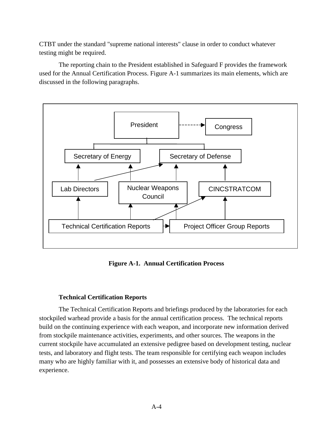CTBT under the standard "supreme national interests" clause in order to conduct whatever testing might be required.

The reporting chain to the President established in Safeguard F provides the framework used for the Annual Certification Process. Figure A-1 summarizes its main elements, which are discussed in the following paragraphs.



**Figure A-1. Annual Certification Process**

## **Technical Certification Reports**

The Technical Certification Reports and briefings produced by the laboratories for each stockpiled warhead provide a basis for the annual certification process. The technical reports build on the continuing experience with each weapon, and incorporate new information derived from stockpile maintenance activities, experiments, and other sources. The weapons in the current stockpile have accumulated an extensive pedigree based on development testing, nuclear tests, and laboratory and flight tests. The team responsible for certifying each weapon includes many who are highly familiar with it, and possesses an extensive body of historical data and experience.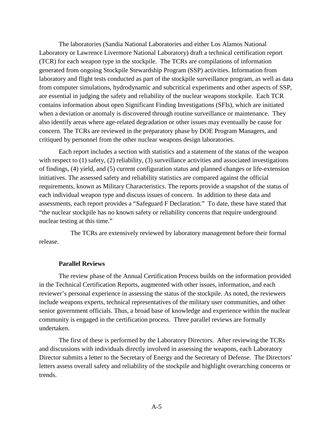The laboratories (Sandia National Laboratories and either Los Alamos National Laboratory or Lawrence Livermore National Laboratory) draft a technical certification report (TCR) for each weapon type in the stockpile. The TCRs are compilations of information generated from ongoing Stockpile Stewardship Program (SSP) activities. Information from laboratory and flight tests conducted as part of the stockpile surveillance program, as well as data from computer simulations, hydrodynamic and subcritical experiments and other aspects of SSP, are essential in judging the safety and reliability of the nuclear weapons stockpile. Each TCR contains information about open Significant Finding Investigations (SFIs), which are initiated when a deviation or anomaly is discovered through routine surveillance or maintenance. They also identify areas where age-related degradation or other issues may eventually be cause for concern. The TCRs are reviewed in the preparatory phase by DOE Program Managers, and critiqued by personnel from the other nuclear weapons design laboratories.

Each report includes a section with statistics and a statement of the status of the weapon with respect to (1) safety, (2) reliability, (3) surveillance activities and associated investigations of findings, (4) yield, and (5) current configuration status and planned changes or life-extension initiatives. The assessed safety and reliability statistics are compared against the official requirements, known as Military Characteristics. The reports provide a snapshot of the status of each individual weapon type and discuss issues of concern. In addition to these data and assessments, each report provides a "Safeguard F Declaration." To date, these have stated that "the nuclear stockpile has no known safety or reliability concerns that require underground nuclear testing at this time."

 The TCRs are extensively reviewed by laboratory management before their formal release.

#### **Parallel Reviews**

The review phase of the Annual Certification Process builds on the information provided in the Technical Certification Reports, augmented with other issues, information, and each reviewer's personal experience in assessing the status of the stockpile. As noted, the reviewers include weapons experts, technical representatives of the military user communities, and other senior government officials. Thus, a broad base of knowledge and experience within the nuclear community is engaged in the certification process. Three parallel reviews are formally undertaken.

The first of these is performed by the Laboratory Directors. After reviewing the TCRs and discussions with individuals directly involved in assessing the weapons, each Laboratory Director submits a letter to the Secretary of Energy and the Secretary of Defense. The Directors' letters assess overall safety and reliability of the stockpile and highlight overarching concerns or trends.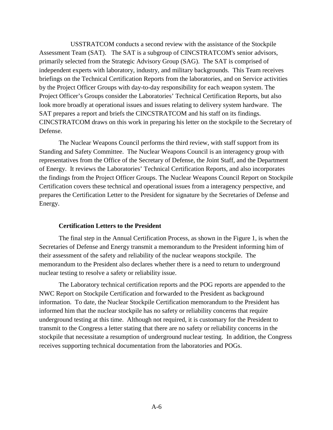USSTRATCOM conducts a second review with the assistance of the Stockpile Assessment Team (SAT). The SAT is a subgroup of CINCSTRATCOM's senior advisors, primarily selected from the Strategic Advisory Group (SAG). The SAT is comprised of independent experts with laboratory, industry, and military backgrounds. This Team receives briefings on the Technical Certification Reports from the laboratories, and on Service activities by the Project Officer Groups with day-to-day responsibility for each weapon system. The Project Officer's Groups consider the Laboratories' Technical Certification Reports, but also look more broadly at operational issues and issues relating to delivery system hardware. The SAT prepares a report and briefs the CINCSTRATCOM and his staff on its findings. CINCSTRATCOM draws on this work in preparing his letter on the stockpile to the Secretary of Defense.

The Nuclear Weapons Council performs the third review, with staff support from its Standing and Safety Committee. The Nuclear Weapons Council is an interagency group with representatives from the Office of the Secretary of Defense, the Joint Staff, and the Department of Energy. It reviews the Laboratories' Technical Certification Reports, and also incorporates the findings from the Project Officer Groups. The Nuclear Weapons Council Report on Stockpile Certification covers these technical and operational issues from a interagency perspective, and prepares the Certification Letter to the President for signature by the Secretaries of Defense and Energy.

#### **Certification Letters to the President**

The final step in the Annual Certification Process, as shown in the Figure 1, is when the Secretaries of Defense and Energy transmit a memorandum to the President informing him of their assessment of the safety and reliability of the nuclear weapons stockpile. The memorandum to the President also declares whether there is a need to return to underground nuclear testing to resolve a safety or reliability issue.

The Laboratory technical certification reports and the POG reports are appended to the NWC Report on Stockpile Certification and forwarded to the President as background information. To date, the Nuclear Stockpile Certification memorandum to the President has informed him that the nuclear stockpile has no safety or reliability concerns that require underground testing at this time. Although not required, it is customary for the President to transmit to the Congress a letter stating that there are no safety or reliability concerns in the stockpile that necessitate a resumption of underground nuclear testing. In addition, the Congress receives supporting technical documentation from the laboratories and POGs.